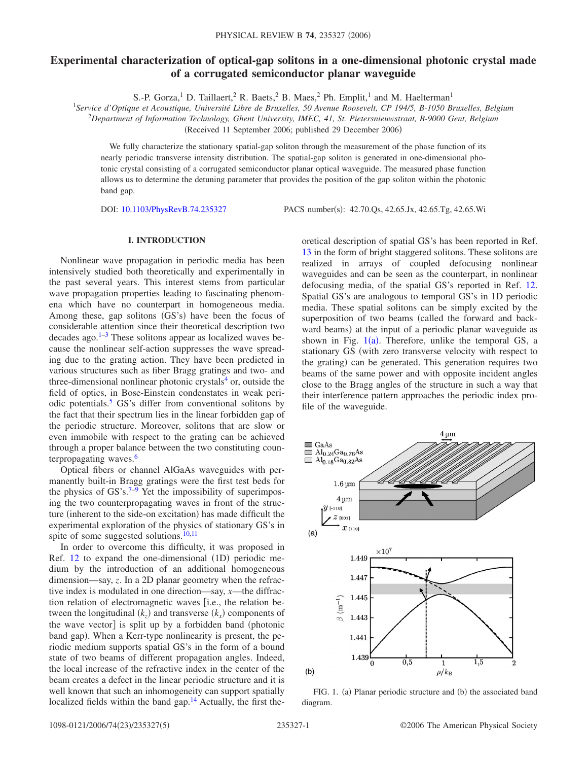# **Experimental characterization of optical-gap solitons in a one-dimensional photonic crystal made of a corrugated semiconductor planar waveguide**

S.-P. Gorza,<sup>1</sup> D. Taillaert,<sup>2</sup> R. Baets,<sup>2</sup> B. Maes,<sup>2</sup> Ph. Emplit,<sup>1</sup> and M. Haelterman<sup>1</sup>

<sup>1</sup>*Service d'Optique et Acoustique, Université Libre de Bruxelles, 50 Avenue Roosevelt, CP 194/5, B-1050 Bruxelles, Belgium*

2 *Department of Information Technology, Ghent University, IMEC, 41, St. Pietersnieuwstraat, B-9000 Gent, Belgium*

(Received 11 September 2006; published 29 December 2006)

We fully characterize the stationary spatial-gap soliton through the measurement of the phase function of its nearly periodic transverse intensity distribution. The spatial-gap soliton is generated in one-dimensional photonic crystal consisting of a corrugated semiconductor planar optical waveguide. The measured phase function allows us to determine the detuning parameter that provides the position of the gap soliton within the photonic band gap.

DOI: [10.1103/PhysRevB.74.235327](http://dx.doi.org/10.1103/PhysRevB.74.235327)

PACS number(s): 42.70.Qs, 42.65.Jx, 42.65.Tg, 42.65.Wi

# **I. INTRODUCTION**

Nonlinear wave propagation in periodic media has been intensively studied both theoretically and experimentally in the past several years. This interest stems from particular wave propagation properties leading to fascinating phenomena which have no counterpart in homogeneous media. Among these, gap solitons (GS's) have been the focus of considerable attention since their theoretical description two decades ago. $1-3$  These solitons appear as localized waves because the nonlinear self-action suppresses the wave spreading due to the grating action. They have been predicted in various structures such as fiber Bragg gratings and two- and three-dimensional nonlinear photonic crystals $4$  or, outside the field of optics, in Bose-Einstein condenstates in weak periodic potentials.<sup>5</sup> GS's differ from conventional solitons by the fact that their spectrum lies in the linear forbidden gap of the periodic structure. Moreover, solitons that are slow or even immobile with respect to the grating can be achieved through a proper balance between the two constituting counterpropagating waves.<sup>6</sup>

Optical fibers or channel AlGaAs waveguides with permanently built-in Bragg gratings were the first test beds for the physics of GS's. $7-9$  Yet the impossibility of superimposing the two counterpropagating waves in front of the structure (inherent to the side-on excitation) has made difficult the experimental exploration of the physics of stationary GS's in spite of some suggested solutions. $10,11$  $10,11$ 

In order to overcome this difficulty, it was proposed in Ref.  $12$  to expand the one-dimensional  $(1D)$  periodic medium by the introduction of an additional homogeneous dimension—say, *z*. In a 2D planar geometry when the refractive index is modulated in one direction—say, *x*—the diffraction relation of electromagnetic waves [i.e., the relation between the longitudinal  $(k_z)$  and transverse  $(k_x)$  components of the wave vector<sup>1</sup> is split up by a forbidden band (photonic band gap). When a Kerr-type nonlinearity is present, the periodic medium supports spatial GS's in the form of a bound state of two beams of different propagation angles. Indeed, the local increase of the refractive index in the center of the beam creates a defect in the linear periodic structure and it is well known that such an inhomogeneity can support spatially localized fields within the band gap. $14$  Actually, the first theoretical description of spatial GS's has been reported in Ref. [13](#page-4-11) in the form of bright staggered solitons. These solitons are realized in arrays of coupled defocusing nonlinear waveguides and can be seen as the counterpart, in nonlinear defocusing media, of the spatial GS's reported in Ref. [12.](#page-4-9) Spatial GS's are analogous to temporal GS's in 1D periodic media. These spatial solitons can be simply excited by the superposition of two beams (called the forward and backward beams) at the input of a periodic planar waveguide as shown in Fig.  $1(a)$  $1(a)$ . Therefore, unlike the temporal GS, a stationary GS (with zero transverse velocity with respect to the grating) can be generated. This generation requires two beams of the same power and with opposite incident angles close to the Bragg angles of the structure in such a way that their interference pattern approaches the periodic index profile of the waveguide.

<span id="page-0-0"></span>

FIG. 1. (a) Planar periodic structure and (b) the associated band diagram.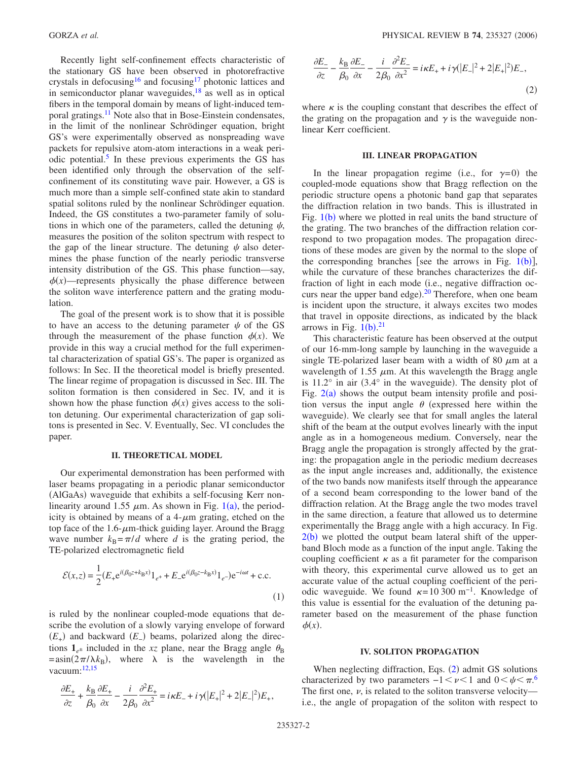Recently light self-confinement effects characteristic of the stationary GS have been observed in photorefractive crystals in defocusing<sup>16</sup> and focusing<sup>17</sup> photonic lattices and in semiconductor planar waveguides, $18$  as well as in optical fibers in the temporal domain by means of light-induced temporal gratings.<sup>11</sup> Note also that in Bose-Einstein condensates, in the limit of the nonlinear Schrödinger equation, bright GS's were experimentally observed as nonspreading wave packets for repulsive atom-atom interactions in a weak periodic potential.<sup>5</sup> In these previous experiments the GS has been identified only through the observation of the selfconfinement of its constituting wave pair. However, a GS is much more than a simple self-confined state akin to standard spatial solitons ruled by the nonlinear Schrödinger equation. Indeed, the GS constitutes a two-parameter family of solutions in which one of the parameters, called the detuning  $\psi$ , measures the position of the soliton spectrum with respect to the gap of the linear structure. The detuning  $\psi$  also determines the phase function of the nearly periodic transverse intensity distribution of the GS. This phase function—say,  $\phi(x)$ —represents physically the phase difference between the soliton wave interference pattern and the grating modulation.

The goal of the present work is to show that it is possible to have an access to the detuning parameter  $\psi$  of the GS through the measurement of the phase function  $\phi(x)$ . We provide in this way a crucial method for the full experimental characterization of spatial GS's. The paper is organized as follows: In Sec. II the theoretical model is briefly presented. The linear regime of propagation is discussed in Sec. III. The soliton formation is then considered in Sec. IV, and it is shown how the phase function  $\phi(x)$  gives access to the soliton detuning. Our experimental characterization of gap solitons is presented in Sec. V. Eventually, Sec. VI concludes the paper.

# **II. THEORETICAL MODEL**

Our experimental demonstration has been performed with laser beams propagating in a periodic planar semiconductor (AlGaAs) waveguide that exhibits a self-focusing Kerr non-linearity around [1](#page-0-0).55  $\mu$ m. As shown in Fig. 1(a), the periodicity is obtained by means of a  $4-\mu m$  grating, etched on the top face of the  $1.6$ - $\mu$ m-thick guiding layer. Around the Bragg wave number  $k_B = \pi/d$  where *d* is the grating period, the TE-polarized electromagnetic field

$$
\mathcal{E}(x,z) = \frac{1}{2} (E_+ e^{i(\beta_0 z + k_B x)} 1_{e^+} + E_- e^{i(\beta_0 z - k_B x)} 1_{e^-}) e^{-i\omega t} + \text{c.c.}
$$
\n(1)

is ruled by the nonlinear coupled-mode equations that describe the evolution of a slowly varying envelope of forward *(E*<sub>+</sub>) and backward *(E*<sub>−</sub>) beams, polarized along the directions  $\mathbf{1}_{e^{\pm}}$  included in the *xz* plane, near the Bragg angle  $\theta_{\rm B}$  $= a\sin(2\pi/\lambda k_B)$ , where  $\lambda$  is the wavelength in the vacuum: $12,15$  $12,15$ 

<span id="page-1-0"></span>
$$
\frac{\partial E_+}{\partial z} + \frac{k_B}{\beta_0} \frac{\partial E_+}{\partial x} - \frac{i}{2\beta_0} \frac{\partial^2 E_+}{\partial x^2} = i\kappa E_- + i\gamma (|E_+|^2 + 2|E_-|^2) E_+,
$$

$$
\frac{\partial E_{-}}{\partial z} - \frac{k_{\rm B}}{\beta_0} \frac{\partial E_{-}}{\partial x} - \frac{i}{2\beta_0} \frac{\partial^2 E_{-}}{\partial x^2} = i\kappa E_{+} + i\gamma (|E_{-}|^2 + 2|E_{+}|^2)E_{-},\tag{2}
$$

where  $\kappa$  is the coupling constant that describes the effect of the grating on the propagation and  $\gamma$  is the waveguide nonlinear Kerr coefficient.

# **III. LINEAR PROPAGATION**

In the linear propagation regime (i.e., for  $\gamma=0$ ) the coupled-mode equations show that Bragg reflection on the periodic structure opens a photonic band gap that separates the diffraction relation in two bands. This is illustrated in Fig.  $1(b)$  $1(b)$  where we plotted in real units the band structure of the grating. The two branches of the diffraction relation correspond to two propagation modes. The propagation directions of these modes are given by the normal to the slope of the corresponding branches [see the arrows in Fig.  $1(b)$  $1(b)$ ], while the curvature of these branches characterizes the diffraction of light in each mode (i.e., negative diffraction oc-curs near the upper band edge).<sup>[20](#page-4-16)</sup> Therefore, when one beam is incident upon the structure, it always excites two modes that travel in opposite directions, as indicated by the black arrows in Fig.  $1(b).^{21}$  $1(b).^{21}$  $1(b).^{21}$  $1(b).^{21}$ 

This characteristic feature has been observed at the output of our 16-mm-long sample by launching in the waveguide a single TE-polarized laser beam with a width of 80  $\mu$ m at a wavelength of 1.55  $\mu$ m. At this wavelength the Bragg angle is  $11.2^\circ$  in air  $(3.4^\circ$  in the waveguide). The density plot of Fig.  $2(a)$  $2(a)$  shows the output beam intensity profile and position versus the input angle  $\theta$  (expressed here within the waveguide). We clearly see that for small angles the lateral shift of the beam at the output evolves linearly with the input angle as in a homogeneous medium. Conversely, near the Bragg angle the propagation is strongly affected by the grating: the propagation angle in the periodic medium decreases as the input angle increases and, additionally, the existence of the two bands now manifests itself through the appearance of a second beam corresponding to the lower band of the diffraction relation. At the Bragg angle the two modes travel in the same direction, a feature that allowed us to determine experimentally the Bragg angle with a high accuracy. In Fig.  $2(b)$  $2(b)$  we plotted the output beam lateral shift of the upperband Bloch mode as a function of the input angle. Taking the coupling coefficient  $\kappa$  as a fit parameter for the comparison with theory, this experimental curve allowed us to get an accurate value of the actual coupling coefficient of the periodic waveguide. We found  $\kappa=10300$  m<sup>-1</sup>. Knowledge of this value is essential for the evaluation of the detuning parameter based on the measurement of the phase function  $\phi(x)$ .

#### **IV. SOLITON PROPAGATION**

When neglecting diffraction, Eqs. ([2](#page-1-0)) admit GS solutions characterized by two parameters  $-1 < \nu < 1$  and  $0 < \psi < \pi$ .<sup>[6](#page-4-4)</sup> The first one,  $\nu$ , is related to the soliton transverse velocity i.e., the angle of propagation of the soliton with respect to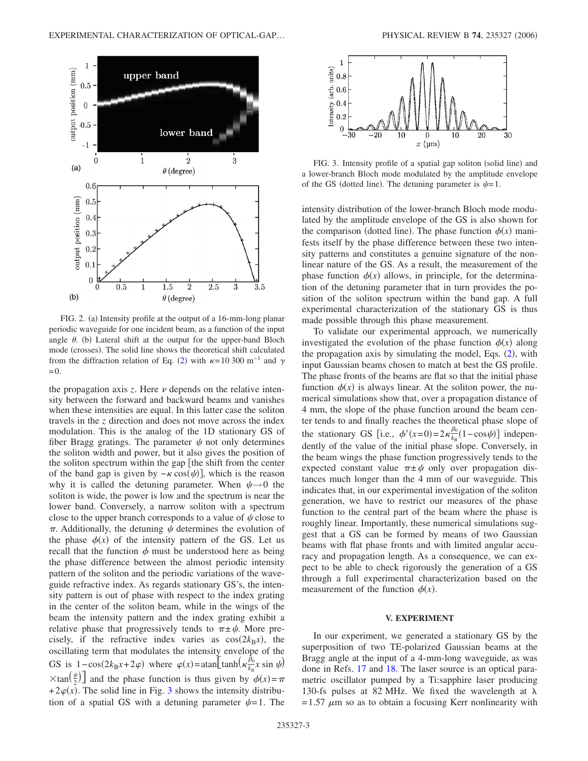<span id="page-2-0"></span>

FIG. 2. (a) Intensity profile at the output of a 16-mm-long planar periodic waveguide for one incident beam, as a function of the input angle  $\theta$ . (b) Lateral shift at the output for the upper-band Bloch mode (crosses). The solid line shows the theoretical shift calculated from the diffraction relation of Eq. ([2](#page-1-0)) with  $\kappa$ =10 300 m<sup>-1</sup> and  $\gamma$  $=0.$ 

the propagation axis  $z$ . Here  $\nu$  depends on the relative intensity between the forward and backward beams and vanishes when these intensities are equal. In this latter case the soliton travels in the *z* direction and does not move across the index modulation. This is the analog of the 1D stationary GS of fiber Bragg gratings. The parameter  $\psi$  not only determines the soliton width and power, but it also gives the position of the soliton spectrum within the gap  $\left[$  the shift from the center of the band gap is given by  $-\kappa \cos(\psi)$ , which is the reason why it is called the detuning parameter. When  $\psi \rightarrow 0$  the soliton is wide, the power is low and the spectrum is near the lower band. Conversely, a narrow soliton with a spectrum close to the upper branch corresponds to a value of  $\psi$  close to  $\pi$ . Additionally, the detuning  $\psi$  determines the evolution of the phase  $\phi(x)$  of the intensity pattern of the GS. Let us recall that the function  $\phi$  must be understood here as being the phase difference between the almost periodic intensity pattern of the soliton and the periodic variations of the waveguide refractive index. As regards stationary GS's, the intensity pattern is out of phase with respect to the index grating in the center of the soliton beam, while in the wings of the beam the intensity pattern and the index grating exhibit a relative phase that progressively tends to  $\pi \pm \psi$ . More precisely, if the refractive index varies as  $cos(2k_Bx)$ , the oscillating term that modulates the intensity envelope of the GS is  $1-\cos(2k_Bx+2\varphi)$  where  $\varphi(x) = \tanh\left(\frac{\hat{\beta}_0}{k_B}\right)$  $\frac{\beta_0}{k_B}$ *x* sin  $\psi$  $\times$ tan $\left(\frac{\psi}{2}\right)$  and the phase function is thus given by  $\phi(x) = \pi$  $+2\varphi(x)$ . The solid line in Fig. [3](#page-2-1) shows the intensity distribution of a spatial GS with a detuning parameter  $\psi=1$ . The

<span id="page-2-1"></span>

FIG. 3. Intensity profile of a spatial gap soliton (solid line) and a lower-branch Bloch mode modulated by the amplitude envelope of the GS (dotted line). The detuning parameter is  $\psi=1$ .

intensity distribution of the lower-branch Bloch mode modulated by the amplitude envelope of the GS is also shown for the comparison (dotted line). The phase function  $\phi(x)$  manifests itself by the phase difference between these two intensity patterns and constitutes a genuine signature of the nonlinear nature of the GS. As a result, the measurement of the phase function  $\phi(x)$  allows, in principle, for the determination of the detuning parameter that in turn provides the position of the soliton spectrum within the band gap. A full experimental characterization of the stationary GS is thus made possible through this phase measurement.

To validate our experimental approach, we numerically investigated the evolution of the phase function  $\phi(x)$  along the propagation axis by simulating the model, Eqs. ([2](#page-1-0)), with input Gaussian beams chosen to match at best the GS profile. The phase fronts of the beams are flat so that the initial phase function  $\phi(x)$  is always linear. At the soliton power, the numerical simulations show that, over a propagation distance of 4 mm, the slope of the phase function around the beam center tends to and finally reaches the theoretical phase slope of the stationary GS [i.e.,  $\phi'(x=0)=2\kappa \frac{\beta_0}{k_B}$  $\frac{\rho_0}{k_B}$ (1–cos $\psi$ )] independently of the value of the initial phase slope. Conversely, in the beam wings the phase function progressively tends to the expected constant value  $\pi \pm \psi$  only over propagation distances much longer than the 4 mm of our waveguide. This indicates that, in our experimental investigation of the soliton generation, we have to restrict our measures of the phase function to the central part of the beam where the phase is roughly linear. Importantly, these numerical simulations suggest that a GS can be formed by means of two Gaussian beams with flat phase fronts and with limited angular accuracy and propagation length. As a consequence, we can expect to be able to check rigorously the generation of a GS through a full experimental characterization based on the measurement of the function  $\phi(x)$ .

## **V. EXPERIMENT**

In our experiment, we generated a stationary GS by the superposition of two TE-polarized Gaussian beams at the Bragg angle at the input of a 4-mm-long waveguide, as was done in Refs. [17](#page-4-13) and [18.](#page-4-14) The laser source is an optical parametric oscillator pumped by a Ti:sapphire laser producing 130-fs pulses at 82 MHz. We fixed the wavelength at  $\lambda$  $=1.57 \mu m$  so as to obtain a focusing Kerr nonlinearity with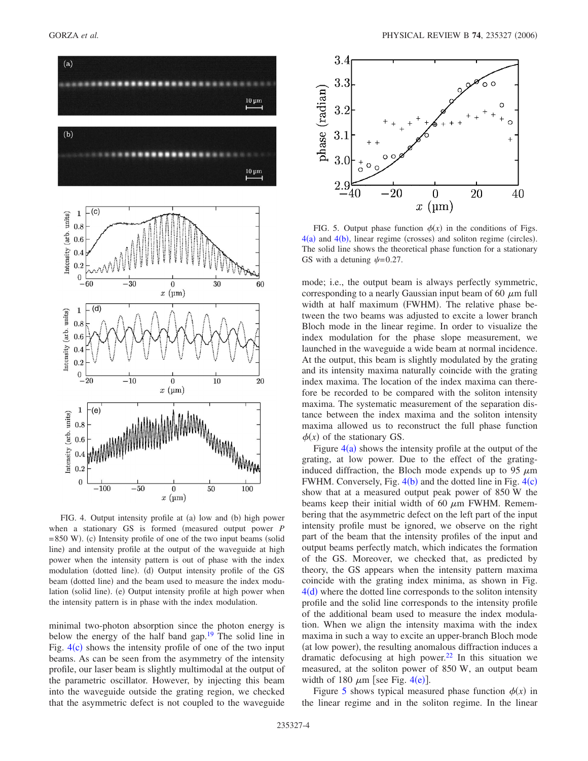<span id="page-3-0"></span>

FIG. 4. Output intensity profile at (a) low and (b) high power when a stationary GS is formed (measured output power *P*  $= 850$  W). (c) Intensity profile of one of the two input beams (solid line) and intensity profile at the output of the waveguide at high power when the intensity pattern is out of phase with the index modulation (dotted line). (d) Output intensity profile of the GS beam (dotted line) and the beam used to measure the index modulation (solid line). (e) Output intensity profile at high power when the intensity pattern is in phase with the index modulation.

minimal two-photon absorption since the photon energy is below the energy of the half band gap.<sup>19</sup> The solid line in Fig.  $4(c)$  $4(c)$  shows the intensity profile of one of the two input beams. As can be seen from the asymmetry of the intensity profile, our laser beam is slightly multimodal at the output of the parametric oscillator. However, by injecting this beam into the waveguide outside the grating region, we checked that the asymmetric defect is not coupled to the waveguide

<span id="page-3-1"></span>

FIG. 5. Output phase function  $\phi(x)$  in the conditions of Figs.  $4(a)$  $4(a)$  and  $4(b)$ , linear regime (crosses) and soliton regime (circles). The solid line shows the theoretical phase function for a stationary GS with a detuning  $\psi$ =0.27.

mode; i.e., the output beam is always perfectly symmetric, corresponding to a nearly Gaussian input beam of 60  $\mu$ m full width at half maximum (FWHM). The relative phase between the two beams was adjusted to excite a lower branch Bloch mode in the linear regime. In order to visualize the index modulation for the phase slope measurement, we launched in the waveguide a wide beam at normal incidence. At the output, this beam is slightly modulated by the grating and its intensity maxima naturally coincide with the grating index maxima. The location of the index maxima can therefore be recorded to be compared with the soliton intensity maxima. The systematic measurement of the separation distance between the index maxima and the soliton intensity maxima allowed us to reconstruct the full phase function  $\phi(x)$  of the stationary GS.

Figure  $4(a)$  $4(a)$  shows the intensity profile at the output of the grating, at low power. Due to the effect of the gratinginduced diffraction, the Bloch mode expends up to 95  $\mu$ m FWHM. Conversely, Fig.  $4(b)$  $4(b)$  and the dotted line in Fig.  $4(c)$ show that at a measured output peak power of 850 W the beams keep their initial width of 60  $\mu$ m FWHM. Remembering that the asymmetric defect on the left part of the input intensity profile must be ignored, we observe on the right part of the beam that the intensity profiles of the input and output beams perfectly match, which indicates the formation of the GS. Moreover, we checked that, as predicted by theory, the GS appears when the intensity pattern maxima coincide with the grating index minima, as shown in Fig.  $4(d)$  $4(d)$  where the dotted line corresponds to the soliton intensity profile and the solid line corresponds to the intensity profile of the additional beam used to measure the index modulation. When we align the intensity maxima with the index maxima in such a way to excite an upper-branch Bloch mode (at low power), the resulting anomalous diffraction induces a dramatic defocusing at high power. $^{22}$  In this situation we measured, at the soliton power of 850 W, an output beam width of 180  $\mu$ m [see Fig. [4](#page-3-0)(e)].

Figure [5](#page-3-1) shows typical measured phase function  $\phi(x)$  in the linear regime and in the soliton regime. In the linear